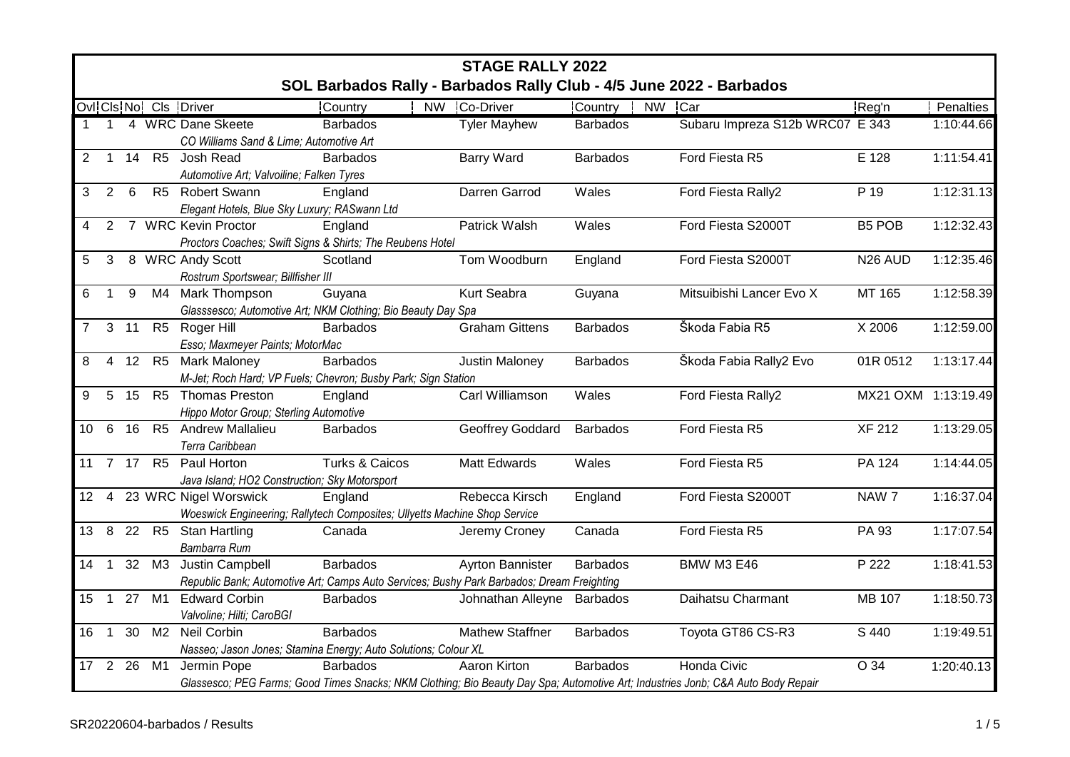|                 | <b>STAGE RALLY 2022</b>                                                                                                          |         |                |                                                                                                                   |                                                                     |                         |                   |                                 |                     |            |  |  |
|-----------------|----------------------------------------------------------------------------------------------------------------------------------|---------|----------------|-------------------------------------------------------------------------------------------------------------------|---------------------------------------------------------------------|-------------------------|-------------------|---------------------------------|---------------------|------------|--|--|
|                 |                                                                                                                                  |         |                |                                                                                                                   | SOL Barbados Rally - Barbados Rally Club - 4/5 June 2022 - Barbados |                         |                   |                                 |                     |            |  |  |
|                 |                                                                                                                                  |         |                | Ovl Cls No Cls Driver                                                                                             | Country                                                             | NW Co-Driver            | Country<br>NW Car |                                 | Reg'n               | Penalties  |  |  |
|                 |                                                                                                                                  |         |                | 1 1 4 WRC Dane Skeete                                                                                             | <b>Barbados</b>                                                     | <b>Tyler Mayhew</b>     | <b>Barbados</b>   | Subaru Impreza S12b WRC07 E 343 |                     | 1:10:44.66 |  |  |
|                 |                                                                                                                                  |         |                | CO Williams Sand & Lime; Automotive Art                                                                           |                                                                     |                         |                   |                                 |                     |            |  |  |
| $\overline{2}$  |                                                                                                                                  |         |                | 1 14 R5 Josh Read                                                                                                 | <b>Barbados</b>                                                     | Barry Ward              | <b>Barbados</b>   | Ford Fiesta R5                  | E 128               | 1:11:54.41 |  |  |
|                 |                                                                                                                                  |         |                | Automotive Art; Valvoiline; Falken Tyres                                                                          |                                                                     |                         |                   |                                 |                     |            |  |  |
| 3               | 2                                                                                                                                | 6       |                | R5 Robert Swann                                                                                                   | England                                                             | Darren Garrod           | Wales             | Ford Fiesta Rally2              | P 19                | 1:12:31.13 |  |  |
|                 |                                                                                                                                  |         |                | Elegant Hotels, Blue Sky Luxury; RASwann Ltd                                                                      |                                                                     |                         |                   |                                 |                     |            |  |  |
|                 | 2                                                                                                                                |         |                | 7 WRC Kevin Proctor                                                                                               | England                                                             | Patrick Walsh           | Wales             | Ford Fiesta S2000T              | <b>B5 POB</b>       | 1:12:32.43 |  |  |
|                 |                                                                                                                                  |         |                | Proctors Coaches; Swift Signs & Shirts; The Reubens Hotel                                                         |                                                                     |                         |                   |                                 |                     |            |  |  |
| 5               | 3                                                                                                                                |         |                | 8 WRC Andy Scott                                                                                                  | Scotland                                                            | Tom Woodburn            | England           | Ford Fiesta S2000T              | N <sub>26</sub> AUD | 1:12:35.46 |  |  |
|                 |                                                                                                                                  |         |                | Rostrum Sportswear; Billfisher III                                                                                |                                                                     |                         |                   |                                 |                     |            |  |  |
| 6               | $\overline{1}$                                                                                                                   | 9       |                | M4 Mark Thompson                                                                                                  | Guyana                                                              | Kurt Seabra             | Guyana            | Mitsuibishi Lancer Evo X        | MT 165              | 1:12:58.39 |  |  |
|                 |                                                                                                                                  |         |                | Glasssesco; Automotive Art; NKM Clothing; Bio Beauty Day Spa                                                      |                                                                     |                         |                   |                                 |                     |            |  |  |
| $\overline{7}$  |                                                                                                                                  | $3$ 11  |                | R5 Roger Hill                                                                                                     | <b>Barbados</b>                                                     | <b>Graham Gittens</b>   | <b>Barbados</b>   | Škoda Fabia R5                  | X 2006              | 1:12:59.00 |  |  |
|                 |                                                                                                                                  |         |                | Esso; Maxmeyer Paints; MotorMac                                                                                   |                                                                     |                         |                   |                                 |                     |            |  |  |
| 8               |                                                                                                                                  |         |                | 4 12 R5 Mark Maloney                                                                                              | <b>Barbados</b>                                                     | Justin Maloney          | <b>Barbados</b>   | Škoda Fabia Rally2 Evo          | 01R 0512            | 1:13:17.44 |  |  |
|                 |                                                                                                                                  |         |                | M-Jet; Roch Hard; VP Fuels; Chevron; Busby Park; Sign Station                                                     |                                                                     |                         |                   |                                 |                     |            |  |  |
| 9               | $5\phantom{.0}$                                                                                                                  | 15      |                | R5 Thomas Preston                                                                                                 | England                                                             | Carl Williamson         | Wales             | Ford Fiesta Rally2              | MX21 OXM 1:13:19.49 |            |  |  |
|                 |                                                                                                                                  |         |                | Hippo Motor Group; Sterling Automotive                                                                            |                                                                     |                         |                   |                                 |                     |            |  |  |
| 10 <sup>1</sup> | 6                                                                                                                                | 16      |                | R5 Andrew Mallalieu                                                                                               | <b>Barbados</b>                                                     | Geoffrey Goddard        | <b>Barbados</b>   | Ford Fiesta R5                  | <b>XF 212</b>       | 1:13:29.05 |  |  |
|                 |                                                                                                                                  |         |                | Terra Caribbean                                                                                                   |                                                                     |                         |                   |                                 |                     |            |  |  |
|                 |                                                                                                                                  | 11 7 17 | R5             | Paul Horton                                                                                                       | Turks & Caicos                                                      | Matt Edwards            | Wales             | Ford Fiesta R5                  | PA 124              | 1:14:44.05 |  |  |
|                 |                                                                                                                                  |         |                | Java Island; HO2 Construction; Sky Motorsport                                                                     |                                                                     |                         |                   |                                 |                     |            |  |  |
|                 |                                                                                                                                  |         |                | 12 4 23 WRC Nigel Worswick                                                                                        | England                                                             | Rebecca Kirsch          | England           | Ford Fiesta S2000T              | NAW 7               | 1:16:37.04 |  |  |
|                 |                                                                                                                                  |         |                | Woeswick Engineering; Rallytech Composites; Ullyetts Machine Shop Service                                         |                                                                     |                         |                   |                                 |                     |            |  |  |
| 13              | 8                                                                                                                                |         | 22 R5          | <b>Stan Hartling</b>                                                                                              | Canada                                                              | Jeremy Croney           | Canada            | Ford Fiesta R5                  | PA 93               | 1:17:07.54 |  |  |
|                 | $\overline{1}$                                                                                                                   | 32      | M3             | Bambarra Rum                                                                                                      | <b>Barbados</b>                                                     |                         | <b>Barbados</b>   |                                 | P 222               |            |  |  |
| 14              |                                                                                                                                  |         |                | Justin Campbell                                                                                                   |                                                                     | <b>Ayrton Bannister</b> |                   | BMW M3 E46                      |                     | 1:18:41.53 |  |  |
| 15              | $\overline{1}$                                                                                                                   | 27      | M1             | Republic Bank; Automotive Art; Camps Auto Services; Bushy Park Barbados; Dream Freighting<br><b>Edward Corbin</b> |                                                                     |                         |                   | Daihatsu Charmant               | MB 107              | 1:18:50.73 |  |  |
|                 |                                                                                                                                  |         |                |                                                                                                                   | <b>Barbados</b>                                                     | Johnathan Alleyne       | <b>Barbados</b>   |                                 |                     |            |  |  |
| 16              | $\overline{1}$                                                                                                                   | 30      | M <sub>2</sub> | Valvoline; Hilti; CaroBGI<br>Neil Corbin                                                                          | <b>Barbados</b>                                                     | <b>Mathew Staffner</b>  | <b>Barbados</b>   | Toyota GT86 CS-R3               | S 440               | 1:19:49.51 |  |  |
|                 |                                                                                                                                  |         |                | Nasseo; Jason Jones; Stamina Energy; Auto Solutions; Colour XL                                                    |                                                                     |                         |                   |                                 |                     |            |  |  |
| 17 2 26         |                                                                                                                                  |         | M1             | Jermin Pope                                                                                                       | <b>Barbados</b>                                                     | Aaron Kirton            | <b>Barbados</b>   | <b>Honda Civic</b>              | O 34                | 1:20:40.13 |  |  |
|                 |                                                                                                                                  |         |                |                                                                                                                   |                                                                     |                         |                   |                                 |                     |            |  |  |
|                 | Glassesco; PEG Farms; Good Times Snacks; NKM Clothing; Bio Beauty Day Spa; Automotive Art; Industries Jonb; C&A Auto Body Repair |         |                |                                                                                                                   |                                                                     |                         |                   |                                 |                     |            |  |  |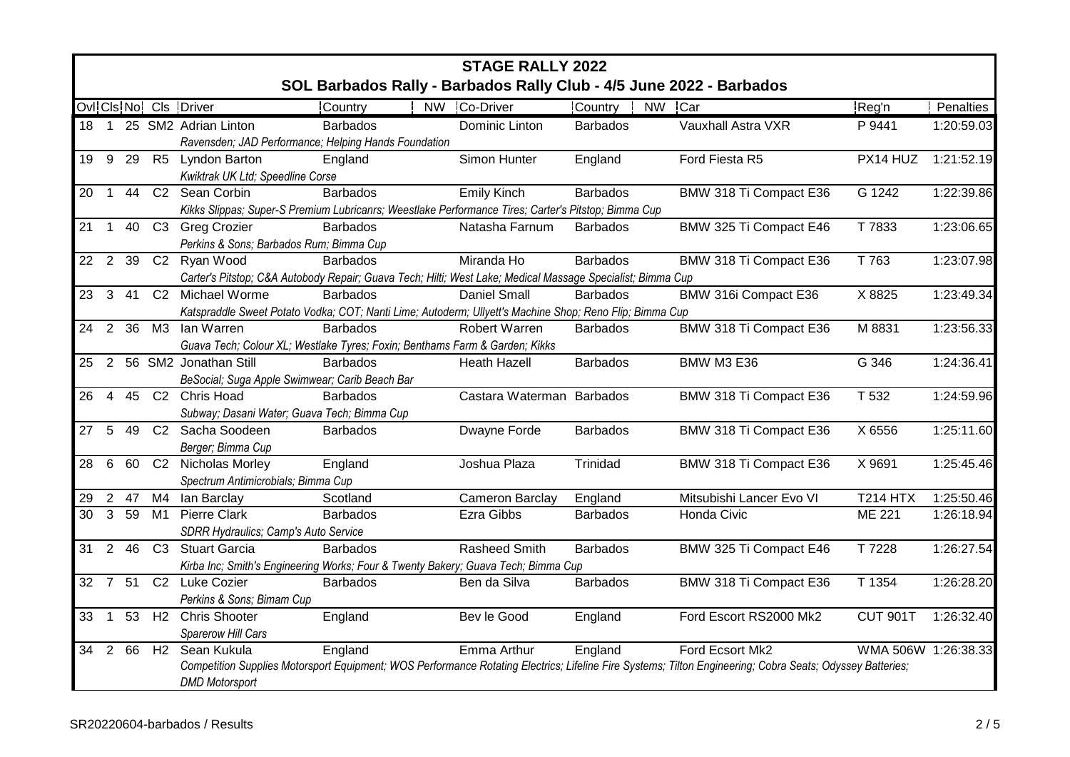|                       | <b>STAGE RALLY 2022</b><br>SOL Barbados Rally - Barbados Rally Club - 4/5 June 2022 - Barbados |         |                |                                                                                                            |                 |  |                           |                 |           |                                                                                                                                                           |                     |            |
|-----------------------|------------------------------------------------------------------------------------------------|---------|----------------|------------------------------------------------------------------------------------------------------------|-----------------|--|---------------------------|-----------------|-----------|-----------------------------------------------------------------------------------------------------------------------------------------------------------|---------------------|------------|
|                       |                                                                                                |         |                |                                                                                                            |                 |  |                           |                 |           |                                                                                                                                                           |                     |            |
|                       |                                                                                                |         |                | Ovl Cls No Cls Driver                                                                                      | Country         |  | NW Co-Driver              | Country         | <b>NW</b> | <b>Car</b>                                                                                                                                                | Reg'n               | Penalties  |
|                       |                                                                                                |         |                | 18 1 25 SM2 Adrian Linton                                                                                  | <b>Barbados</b> |  | Dominic Linton            | <b>Barbados</b> |           | Vauxhall Astra VXR                                                                                                                                        | P 9441              | 1:20:59.03 |
|                       |                                                                                                |         |                | Ravensden; JAD Performance; Helping Hands Foundation                                                       |                 |  |                           |                 |           |                                                                                                                                                           |                     |            |
|                       |                                                                                                | 19 9 29 | R5             | <b>Lyndon Barton</b>                                                                                       | England         |  | Simon Hunter              | England         |           | Ford Fiesta R5                                                                                                                                            | PX14 HUZ            | 1:21:52.19 |
|                       |                                                                                                |         |                | Kwiktrak UK Ltd; Speedline Corse                                                                           |                 |  |                           |                 |           |                                                                                                                                                           |                     |            |
| 20                    | $\overline{1}$                                                                                 | 44      |                | C2 Sean Corbin                                                                                             | <b>Barbados</b> |  | <b>Emily Kinch</b>        | <b>Barbados</b> |           | BMW 318 Ti Compact E36                                                                                                                                    | G 1242              | 1:22:39.86 |
|                       |                                                                                                |         |                | Kikks Slippas; Super-S Premium Lubricanrs; Weestlake Performance Tires; Carter's Pitstop; Bimma Cup        |                 |  |                           |                 |           |                                                                                                                                                           |                     |            |
| 21                    | $\overline{1}$                                                                                 | 40      | C <sub>3</sub> | <b>Greg Crozier</b>                                                                                        | <b>Barbados</b> |  | Natasha Farnum            | <b>Barbados</b> |           | BMW 325 Ti Compact E46                                                                                                                                    | T 7833              | 1:23:06.65 |
|                       |                                                                                                |         |                | Perkins & Sons; Barbados Rum; Bimma Cup                                                                    |                 |  |                           |                 |           |                                                                                                                                                           |                     |            |
| 22                    | $\overline{2}$                                                                                 | 39      | C <sub>2</sub> | Ryan Wood                                                                                                  | <b>Barbados</b> |  | Miranda Ho                | <b>Barbados</b> |           | BMW 318 Ti Compact E36                                                                                                                                    | T 763               | 1:23:07.98 |
|                       |                                                                                                |         |                | Carter's Pitstop; C&A Autobody Repair; Guava Tech; Hilti; West Lake; Medical Massage Specialist; Bimma Cup |                 |  |                           |                 |           |                                                                                                                                                           |                     |            |
| 23                    | $\mathbf{3}$                                                                                   | 41      | C <sub>2</sub> | Michael Worme                                                                                              | <b>Barbados</b> |  | <b>Daniel Small</b>       | <b>Barbados</b> |           | BMW 316i Compact E36                                                                                                                                      | X 8825              | 1:23:49.34 |
|                       |                                                                                                |         |                | Katspraddle Sweet Potato Vodka; COT; Nanti Lime; Autoderm; Ullyett's Machine Shop; Reno Flip; Bimma Cup    |                 |  |                           |                 |           |                                                                                                                                                           |                     |            |
| 24                    | 2                                                                                              | 36      | M3             | lan Warren                                                                                                 | <b>Barbados</b> |  | Robert Warren             | <b>Barbados</b> |           | BMW 318 Ti Compact E36                                                                                                                                    | M 8831              | 1:23:56.33 |
|                       |                                                                                                |         |                | Guava Tech; Colour XL; Westlake Tyres; Foxin; Benthams Farm & Garden; Kikks                                |                 |  |                           |                 |           |                                                                                                                                                           |                     |            |
| 25                    | 2                                                                                              |         |                | 56 SM2 Jonathan Still                                                                                      | <b>Barbados</b> |  | <b>Heath Hazell</b>       | <b>Barbados</b> |           | <b>BMW M3 E36</b>                                                                                                                                         | G 346               | 1:24:36.41 |
|                       |                                                                                                |         |                | BeSocial; Suga Apple Swimwear; Carib Beach Bar                                                             |                 |  |                           |                 |           |                                                                                                                                                           |                     |            |
| 26                    | $\overline{4}$                                                                                 | 45      |                | C2 Chris Hoad                                                                                              | <b>Barbados</b> |  | Castara Waterman Barbados |                 |           | BMW 318 Ti Compact E36                                                                                                                                    | T 532               | 1:24:59.96 |
|                       |                                                                                                |         |                | Subway; Dasani Water; Guava Tech; Bimma Cup                                                                |                 |  |                           |                 |           |                                                                                                                                                           |                     |            |
| 27                    | $5\phantom{.0}$                                                                                | 49      |                | C2 Sacha Soodeen                                                                                           | <b>Barbados</b> |  | Dwayne Forde              | <b>Barbados</b> |           | BMW 318 Ti Compact E36                                                                                                                                    | X 6556              | 1:25:11.60 |
|                       |                                                                                                |         |                | Berger; Bimma Cup                                                                                          |                 |  |                           |                 |           |                                                                                                                                                           |                     |            |
| 28                    | $6\phantom{1}6$                                                                                | 60      |                | C2 Nicholas Morley                                                                                         | England         |  | Joshua Plaza              | Trinidad        |           | BMW 318 Ti Compact E36                                                                                                                                    | X 9691              | 1:25:45.46 |
|                       |                                                                                                |         |                | Spectrum Antimicrobials; Bimma Cup                                                                         |                 |  |                           |                 |           |                                                                                                                                                           |                     |            |
| 29                    |                                                                                                | 2 47    | M4             | lan Barclay                                                                                                | Scotland        |  | Cameron Barclay           | England         |           | Mitsubishi Lancer Evo VI                                                                                                                                  | <b>T214 HTX</b>     | 1:25:50.46 |
| 30                    | $\mathbf{3}$                                                                                   | 59      | M1             | <b>Pierre Clark</b>                                                                                        | <b>Barbados</b> |  | Ezra Gibbs                | <b>Barbados</b> |           | Honda Civic                                                                                                                                               | ME 221              | 1:26:18.94 |
|                       |                                                                                                |         |                | SDRR Hydraulics; Camp's Auto Service                                                                       |                 |  |                           |                 |           |                                                                                                                                                           |                     |            |
| $31 \quad 2 \quad 46$ |                                                                                                |         | C <sub>3</sub> | <b>Stuart Garcia</b>                                                                                       | <b>Barbados</b> |  | <b>Rasheed Smith</b>      | <b>Barbados</b> |           | BMW 325 Ti Compact E46                                                                                                                                    | T 7228              | 1:26:27.54 |
|                       |                                                                                                |         |                | Kirba Inc; Smith's Engineering Works; Four & Twenty Bakery; Guava Tech; Bimma Cup                          |                 |  |                           |                 |           |                                                                                                                                                           |                     |            |
|                       |                                                                                                | 32 7 51 | C <sub>2</sub> | Luke Cozier                                                                                                | <b>Barbados</b> |  | Ben da Silva              | <b>Barbados</b> |           | BMW 318 Ti Compact E36                                                                                                                                    | T 1354              | 1:26:28.20 |
|                       |                                                                                                |         |                | Perkins & Sons; Bimam Cup                                                                                  |                 |  |                           |                 |           |                                                                                                                                                           |                     |            |
| 33                    | $\overline{1}$                                                                                 | 53      | H <sub>2</sub> | <b>Chris Shooter</b>                                                                                       | England         |  | Bev le Good               | England         |           | Ford Escort RS2000 Mk2                                                                                                                                    | <b>CUT 901T</b>     | 1:26:32.40 |
|                       |                                                                                                |         |                | Sparerow Hill Cars                                                                                         |                 |  |                           |                 |           |                                                                                                                                                           |                     |            |
| 34 2 66               |                                                                                                |         | H2             | Sean Kukula                                                                                                | England         |  | Emma Arthur               | England         |           | Ford Ecsort Mk2                                                                                                                                           | WMA 506W 1:26:38.33 |            |
|                       |                                                                                                |         |                |                                                                                                            |                 |  |                           |                 |           | Competition Supplies Motorsport Equipment; WOS Performance Rotating Electrics; Lifeline Fire Systems; Tilton Engineering; Cobra Seats; Odyssey Batteries; |                     |            |
|                       |                                                                                                |         |                | <b>DMD Motorsport</b>                                                                                      |                 |  |                           |                 |           |                                                                                                                                                           |                     |            |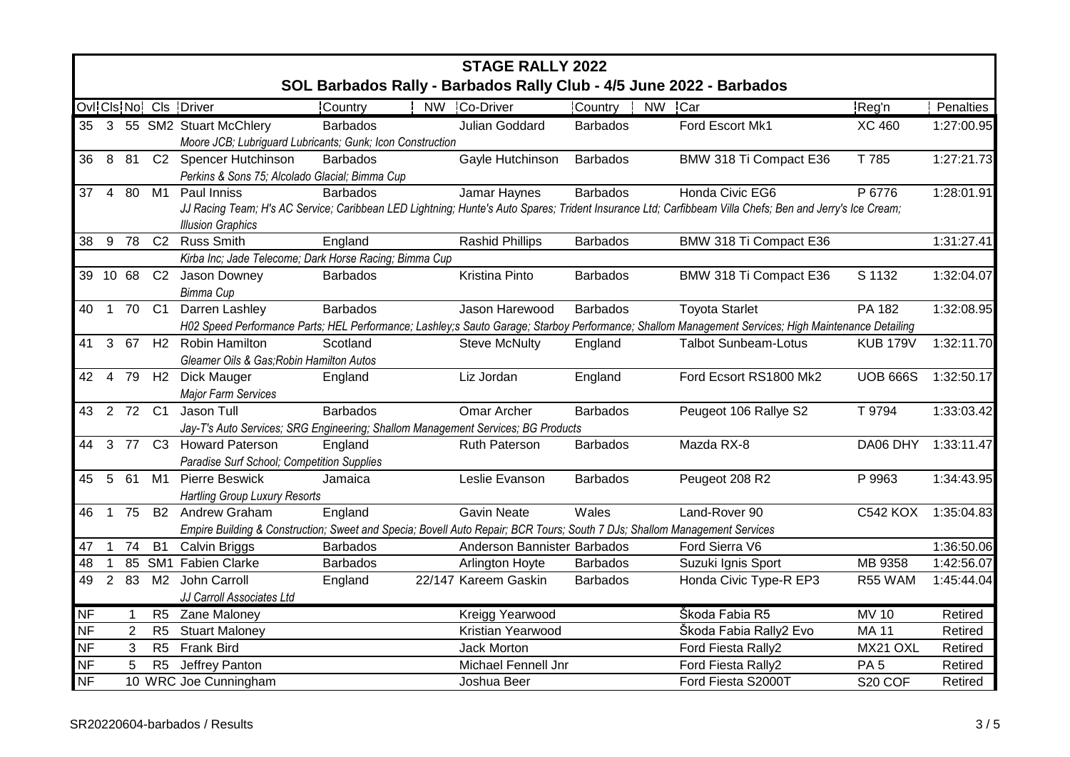|              | <b>STAGE RALLY 2022</b> |                |                 |                                                                                                                           |                 |  |                             |                 |        |                                                                                                                                                         |                     |            |
|--------------|-------------------------|----------------|-----------------|---------------------------------------------------------------------------------------------------------------------------|-----------------|--|-----------------------------|-----------------|--------|---------------------------------------------------------------------------------------------------------------------------------------------------------|---------------------|------------|
|              |                         |                |                 |                                                                                                                           |                 |  |                             |                 |        | SOL Barbados Rally - Barbados Rally Club - 4/5 June 2022 - Barbados                                                                                     |                     |            |
|              |                         |                |                 | Ovi Cis No! Cis Driver                                                                                                    | Country         |  | NW Co-Driver                | Country         | NW Car |                                                                                                                                                         | Reg'n               | Penalties  |
|              |                         |                |                 | 35 3 55 SM2 Stuart McChlery                                                                                               | <b>Barbados</b> |  | Julian Goddard              | <b>Barbados</b> |        | Ford Escort Mk1                                                                                                                                         | <b>XC 460</b>       | 1:27:00.95 |
|              |                         |                |                 | Moore JCB; Lubriguard Lubricants; Gunk; Icon Construction                                                                 |                 |  |                             |                 |        |                                                                                                                                                         |                     |            |
|              |                         |                |                 | 36 8 81 C2 Spencer Hutchinson                                                                                             | <b>Barbados</b> |  | Gayle Hutchinson            | <b>Barbados</b> |        | BMW 318 Ti Compact E36                                                                                                                                  | T 785               | 1:27:21.73 |
|              |                         |                |                 | Perkins & Sons 75; Alcolado Glacial; Bimma Cup                                                                            |                 |  |                             |                 |        |                                                                                                                                                         |                     |            |
| $37 \quad 4$ |                         |                | 80 M1           | Paul Inniss                                                                                                               | <b>Barbados</b> |  | Jamar Haynes                | <b>Barbados</b> |        | Honda Civic EG6                                                                                                                                         | P 6776              | 1:28:01.91 |
|              |                         |                |                 |                                                                                                                           |                 |  |                             |                 |        | JJ Racing Team; H's AC Service; Caribbean LED Lightning; Hunte's Auto Spares; Trident Insurance Ltd; Carfibbeam Villa Chefs; Ben and Jerry's Ice Cream; |                     |            |
|              |                         |                |                 | <b>Illusion Graphics</b>                                                                                                  |                 |  |                             |                 |        |                                                                                                                                                         |                     |            |
| 38           |                         | 9 78           | C <sub>2</sub>  | <b>Russ Smith</b>                                                                                                         | England         |  | <b>Rashid Phillips</b>      | <b>Barbados</b> |        | BMW 318 Ti Compact E36                                                                                                                                  |                     | 1:31:27.41 |
|              |                         |                |                 | Kirba Inc; Jade Telecome; Dark Horse Racing; Bimma Cup                                                                    |                 |  |                             |                 |        |                                                                                                                                                         |                     |            |
|              |                         | 39 10 68       |                 | C2 Jason Downey                                                                                                           | <b>Barbados</b> |  | Kristina Pinto              | <b>Barbados</b> |        | BMW 318 Ti Compact E36                                                                                                                                  | S 1132              | 1:32:04.07 |
| 40           |                         |                | 1 70 C1         | Bimma Cup<br>Darren Lashley                                                                                               | <b>Barbados</b> |  | Jason Harewood              | <b>Barbados</b> |        | <b>Toyota Starlet</b>                                                                                                                                   | PA 182              | 1:32:08.95 |
|              |                         |                |                 |                                                                                                                           |                 |  |                             |                 |        | H02 Speed Performance Parts; HEL Performance; Lashley;s Sauto Garage; Starboy Performance; Shallom Management Services; High Maintenance Detailing      |                     |            |
| 41           | 3 <sup>5</sup>          | 67             | $\overline{H2}$ | <b>Robin Hamilton</b>                                                                                                     | Scotland        |  | <b>Steve McNulty</b>        | England         |        | <b>Talbot Sunbeam-Lotus</b>                                                                                                                             | <b>KUB 179V</b>     | 1:32:11.70 |
|              |                         |                |                 | Gleamer Oils & Gas; Robin Hamilton Autos                                                                                  |                 |  |                             |                 |        |                                                                                                                                                         |                     |            |
| 42 4         |                         | 79             | H2              | Dick Mauger                                                                                                               | England         |  | Liz Jordan                  | England         |        | Ford Ecsort RS1800 Mk2                                                                                                                                  | <b>UOB 666S</b>     | 1:32:50.17 |
|              |                         |                |                 | <b>Major Farm Services</b>                                                                                                |                 |  |                             |                 |        |                                                                                                                                                         |                     |            |
|              |                         |                | 43  2  72  C1   | Jason Tull                                                                                                                | <b>Barbados</b> |  | Omar Archer                 | <b>Barbados</b> |        | Peugeot 106 Rallye S2                                                                                                                                   | T 9794              | 1:33:03.42 |
|              |                         |                |                 | Jay-T's Auto Services; SRG Engineering; Shallom Management Services; BG Products                                          |                 |  |                             |                 |        |                                                                                                                                                         |                     |            |
| 44           |                         | 3 77           |                 | C3 Howard Paterson                                                                                                        | England         |  | Ruth Paterson               | <b>Barbados</b> |        | Mazda RX-8                                                                                                                                              | DA06 DHY 1:33:11.47 |            |
|              |                         |                |                 | Paradise Surf School; Competition Supplies                                                                                |                 |  |                             |                 |        |                                                                                                                                                         |                     |            |
| 45           | 5                       | 61             | M1              | <b>Pierre Beswick</b>                                                                                                     | Jamaica         |  | Leslie Evanson              | <b>Barbados</b> |        | Peugeot 208 R2                                                                                                                                          | P 9963              | 1:34:43.95 |
|              |                         |                |                 | <b>Hartling Group Luxury Resorts</b>                                                                                      |                 |  |                             |                 |        |                                                                                                                                                         |                     |            |
| 46           | $\overline{1}$          | 75             | <b>B2</b>       | Andrew Graham                                                                                                             | England         |  | <b>Gavin Neate</b>          | Wales           |        | Land-Rover 90                                                                                                                                           | <b>C542 KOX</b>     | 1:35:04.83 |
|              |                         |                |                 | Empire Building & Construction; Sweet and Specia; Bovell Auto Repair; BCR Tours; South 7 DJs; Shallom Management Services |                 |  |                             |                 |        |                                                                                                                                                         |                     |            |
| 47           | $\mathbf{1}$            | 74             | <b>B1</b>       | Calvin Briggs                                                                                                             | <b>Barbados</b> |  | Anderson Bannister Barbados |                 |        | Ford Sierra V6                                                                                                                                          |                     | 1:36:50.06 |
| 48           | 1                       |                | 85 SM1          | <b>Fabien Clarke</b>                                                                                                      | <b>Barbados</b> |  | Arlington Hoyte             | <b>Barbados</b> |        | Suzuki Ignis Sport                                                                                                                                      | MB 9358             | 1:42:56.07 |
| 49           | $\overline{2}$          | 83             | M <sub>2</sub>  | John Carroll                                                                                                              | England         |  | 22/147 Kareem Gaskin        | <b>Barbados</b> |        | Honda Civic Type-R EP3                                                                                                                                  | R55 WAM             | 1:45:44.04 |
|              |                         |                |                 | JJ Carroll Associates Ltd                                                                                                 |                 |  |                             |                 |        |                                                                                                                                                         |                     |            |
| <b>NF</b>    |                         | $\mathbf{1}$   | R5              | <b>Zane Maloney</b>                                                                                                       |                 |  | Kreigg Yearwood             |                 |        | Škoda Fabia R5                                                                                                                                          | <b>MV 10</b>        | Retired    |
| <b>NF</b>    |                         | $\overline{2}$ | R <sub>5</sub>  | <b>Stuart Maloney</b>                                                                                                     |                 |  | Kristian Yearwood           |                 |        | Škoda Fabia Rally2 Evo                                                                                                                                  | <b>MA 11</b>        | Retired    |
| <b>NF</b>    |                         | 3              | R <sub>5</sub>  | <b>Frank Bird</b>                                                                                                         |                 |  | <b>Jack Morton</b>          |                 |        | Ford Fiesta Rally2                                                                                                                                      | MX21 OXL            | Retired    |
| <b>NF</b>    |                         | 5              | R <sub>5</sub>  | Jeffrey Panton                                                                                                            |                 |  | Michael Fennell Jnr         |                 |        | Ford Fiesta Rally2                                                                                                                                      | PA <sub>5</sub>     | Retired    |
| <b>NF</b>    |                         |                |                 | 10 WRC Joe Cunningham                                                                                                     |                 |  | Joshua Beer                 |                 |        | Ford Fiesta S2000T                                                                                                                                      | S20 COF             | Retired    |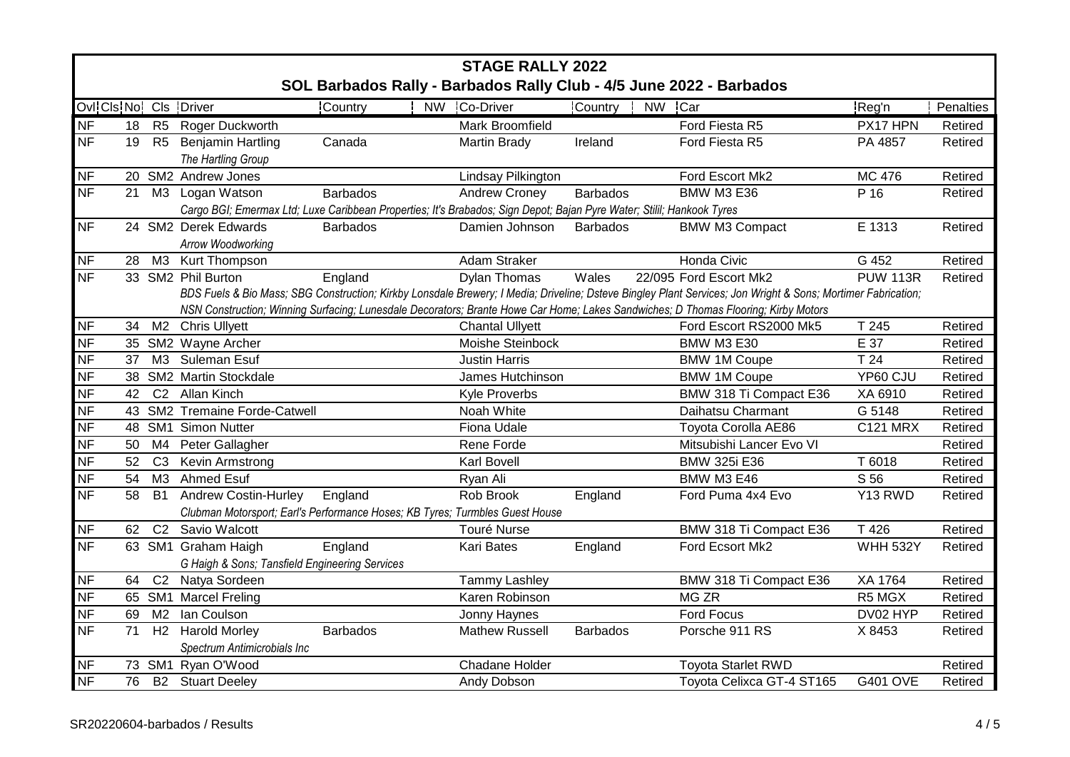|                        | <b>STAGE RALLY 2022</b> |                |                                                                                                                       |                      |                        |                 |                                                                                                                                                              |                 |           |  |  |
|------------------------|-------------------------|----------------|-----------------------------------------------------------------------------------------------------------------------|----------------------|------------------------|-----------------|--------------------------------------------------------------------------------------------------------------------------------------------------------------|-----------------|-----------|--|--|
|                        |                         |                |                                                                                                                       |                      |                        |                 | SOL Barbados Rally - Barbados Rally Club - 4/5 June 2022 - Barbados                                                                                          |                 |           |  |  |
| Ovl Cls No! Cls Driver |                         |                |                                                                                                                       | Country<br><b>NW</b> | Co-Driver              | Country         | <b>NW</b><br><b>Car</b>                                                                                                                                      | Reg'n           | Penalties |  |  |
| <b>NF</b>              | 18                      | R <sub>5</sub> | Roger Duckworth                                                                                                       |                      | Mark Broomfield        |                 | Ford Fiesta R5                                                                                                                                               | PX17 HPN        | Retired   |  |  |
| <b>NF</b>              | 19                      | R <sub>5</sub> | <b>Benjamin Hartling</b>                                                                                              | Canada               | <b>Martin Brady</b>    | Ireland         | Ford Fiesta R5                                                                                                                                               | PA 4857         | Retired   |  |  |
|                        |                         |                | The Hartling Group                                                                                                    |                      |                        |                 |                                                                                                                                                              |                 |           |  |  |
| <b>NF</b>              |                         |                | 20 SM2 Andrew Jones                                                                                                   |                      | Lindsay Pilkington     |                 | Ford Escort Mk2                                                                                                                                              | MC 476          | Retired   |  |  |
| <b>NF</b>              |                         |                | 21 M3 Logan Watson                                                                                                    | <b>Barbados</b>      | <b>Andrew Croney</b>   | Barbados        | <b>BMW M3 E36</b>                                                                                                                                            | P 16            | Retired   |  |  |
|                        |                         |                | Cargo BGI; Emermax Ltd; Luxe Caribbean Properties; It's Brabados; Sign Depot; Bajan Pyre Water; Stilil; Hankook Tyres |                      |                        |                 |                                                                                                                                                              |                 |           |  |  |
| <b>NF</b>              |                         |                | 24 SM2 Derek Edwards                                                                                                  | <b>Barbados</b>      | Damien Johnson         | <b>Barbados</b> | <b>BMW M3 Compact</b>                                                                                                                                        | E 1313          | Retired   |  |  |
|                        |                         |                | Arrow Woodworking                                                                                                     |                      |                        |                 |                                                                                                                                                              |                 |           |  |  |
| <b>NF</b>              |                         | 28 M3          | Kurt Thompson                                                                                                         |                      | Adam Straker           |                 | Honda Civic                                                                                                                                                  | G 452           | Retired   |  |  |
| <b>NF</b>              |                         |                | 33 SM2 Phil Burton                                                                                                    | England              | <b>Dylan Thomas</b>    | Wales           | 22/095 Ford Escort Mk2                                                                                                                                       | <b>PUW 113R</b> | Retired   |  |  |
|                        |                         |                |                                                                                                                       |                      |                        |                 | BDS Fuels & Bio Mass; SBG Construction; Kirkby Lonsdale Brewery; I Media; Driveline; Dsteve Bingley Plant Services; Jon Wright & Sons; Mortimer Fabrication; |                 |           |  |  |
|                        |                         |                |                                                                                                                       |                      |                        |                 | NSN Construction; Winning Surfacing; Lunesdale Decorators; Brante Howe Car Home; Lakes Sandwiches; D Thomas Flooring; Kirby Motors                           |                 |           |  |  |
| <b>NF</b>              | 34                      | M <sub>2</sub> | <b>Chris Ullyett</b>                                                                                                  |                      | <b>Chantal Ullyett</b> |                 | Ford Escort RS2000 Mk5                                                                                                                                       | T 245           | Retired   |  |  |
| <b>NF</b>              |                         |                | 35 SM2 Wayne Archer                                                                                                   |                      | Moishe Steinbock       |                 | <b>BMW M3 E30</b>                                                                                                                                            | E 37            | Retired   |  |  |
| <b>NF</b>              | 37                      | M3             | Suleman Esuf                                                                                                          |                      | <b>Justin Harris</b>   |                 | <b>BMW 1M Coupe</b>                                                                                                                                          | T <sub>24</sub> | Retired   |  |  |
| <b>NF</b>              |                         |                | 38 SM2 Martin Stockdale                                                                                               |                      | James Hutchinson       |                 | <b>BMW 1M Coupe</b>                                                                                                                                          | YP60 CJU        | Retired   |  |  |
| <b>NF</b>              | 42                      |                | C2 Allan Kinch                                                                                                        |                      | <b>Kyle Proverbs</b>   |                 | BMW 318 Ti Compact E36                                                                                                                                       | XA 6910         | Retired   |  |  |
| <b>NF</b>              |                         |                | 43 SM2 Tremaine Forde-Catwell                                                                                         |                      | Noah White             |                 | Daihatsu Charmant                                                                                                                                            | G 5148          | Retired   |  |  |
| <b>NF</b>              |                         |                | 48 SM1 Simon Nutter                                                                                                   |                      | Fiona Udale            |                 | Toyota Corolla AE86                                                                                                                                          | <b>C121 MRX</b> | Retired   |  |  |
| <b>NF</b>              | 50                      | M4             | Peter Gallagher                                                                                                       |                      | Rene Forde             |                 | Mitsubishi Lancer Evo VI                                                                                                                                     |                 | Retired   |  |  |
| <b>NF</b>              | 52 <sub>2</sub>         | C <sub>3</sub> | Kevin Armstrong                                                                                                       |                      | <b>Karl Bovell</b>     |                 | <b>BMW 325i E36</b>                                                                                                                                          | T 6018          | Retired   |  |  |
| <b>NF</b>              | 54                      | M3             | <b>Ahmed Esuf</b>                                                                                                     |                      | Ryan Ali               |                 | <b>BMW M3 E46</b>                                                                                                                                            | S 56            | Retired   |  |  |
| <b>NF</b>              | 58                      | <b>B1</b>      | <b>Andrew Costin-Hurley</b>                                                                                           | England              | Rob Brook              | England         | Ford Puma 4x4 Evo                                                                                                                                            | Y13 RWD         | Retired   |  |  |
|                        |                         |                | Clubman Motorsport; Earl's Performance Hoses; KB Tyres; Turmbles Guest House                                          |                      |                        |                 |                                                                                                                                                              |                 |           |  |  |
| <b>NF</b>              | 62                      | C <sub>2</sub> | Savio Walcott                                                                                                         |                      | Touré Nurse            |                 | BMW 318 Ti Compact E36                                                                                                                                       | T 426           | Retired   |  |  |
| <b>NF</b>              |                         | 63 SM1         | <b>Graham Haigh</b>                                                                                                   | England              | <b>Kari Bates</b>      | England         | Ford Ecsort Mk2                                                                                                                                              | <b>WHH 532Y</b> | Retired   |  |  |
|                        |                         |                | G Haigh & Sons; Tansfield Engineering Services                                                                        |                      |                        |                 |                                                                                                                                                              |                 |           |  |  |
| <b>NF</b>              | 64                      | C <sub>2</sub> | Natya Sordeen                                                                                                         |                      | <b>Tammy Lashley</b>   |                 | BMW 318 Ti Compact E36                                                                                                                                       | XA 1764         | Retired   |  |  |
| <b>NF</b>              |                         | 65 SM1         | <b>Marcel Freling</b>                                                                                                 |                      | Karen Robinson         |                 | MG ZR                                                                                                                                                        | R5 MGX          | Retired   |  |  |
| <b>NF</b>              | 69                      | M <sub>2</sub> | Ian Coulson                                                                                                           |                      | Jonny Haynes           |                 | Ford Focus                                                                                                                                                   | DV02 HYP        | Retired   |  |  |
| <b>NF</b>              | 71                      | H2             | <b>Harold Morley</b>                                                                                                  | <b>Barbados</b>      | <b>Mathew Russell</b>  | <b>Barbados</b> | Porsche 911 RS                                                                                                                                               | X 8453          | Retired   |  |  |
|                        |                         |                | Spectrum Antimicrobials Inc                                                                                           |                      |                        |                 |                                                                                                                                                              |                 |           |  |  |
| <b>NF</b>              |                         | 73 SM1         | Ryan O'Wood                                                                                                           |                      | <b>Chadane Holder</b>  |                 | <b>Toyota Starlet RWD</b>                                                                                                                                    |                 | Retired   |  |  |
| <b>NF</b>              | 76                      |                | <b>B2</b> Stuart Deeley                                                                                               |                      | Andy Dobson            |                 | Toyota Celixca GT-4 ST165                                                                                                                                    | <b>G401 OVE</b> | Retired   |  |  |